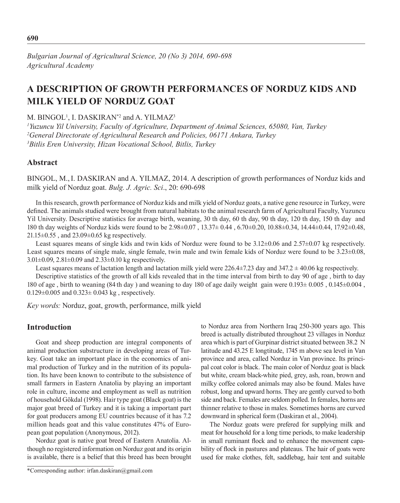*Bulgarian Journal of Agricultural Science, 20 (No 3) 2014, 690-698 Agricultural Academy*

# **A Description of Growth Performances Of Norduz Kids And Milk Yield Of Norduz Goat**

M. BINGOL<sup>1</sup>, I. DASKIRAN<sup>\*2</sup> and A. YILMAZ<sup>3</sup>

*1 Yuzuncu Yil University, Faculty of Agriculture, Department of Animal Sciences, 65080, Van, Turkey 2 General Directorate of Agricultural Research and Policies, 06171 Ankara, Turkey 3 Bitlis Eren University, Hizan Vocational School, Bitlis, Turkey*

## **Abstract**

BINGOL, M.,I. DASKIRAN and A. YILMAZ, 2014. A description of growth performances of Norduz kids and milk yield of Norduz goat. *Bulg. J. Agric. Sci*., 20: 690-698

In this research, growth performance of Norduz kids and milk yield of Norduz goats, a native gene resource in Turkey, were defined. The animals studied were brought from natural habitats to the animal research farm of Agricultural Faculty, Yuzuncu Yil University. Descriptive statistics for average birth, weaning, 30 th day, 60 th day, 90 th day, 120 th day, 150 th day and 180 th day weights of Norduz kids were found to be 2.98±0.07 , 13.37± 0.44 , 6.70±0.20, 10.88±0.34, 14.44±0.44, 17.92±0.48, 21.15±0.55 , and 23.09±0.65 kg respectively.

Least squares means of single kids and twin kids of Norduz were found to be 3.12±0.06 and 2.57±0.07 kg respectively. Least squares means of single male, single female, twin male and twin female kids of Norduz were found to be  $3.23\pm0.08$ , 3.01±0.09, 2.81±0.09 and 2.33±0.10 kg respectively.

Least squares means of lactation length and lactation milk yield were 226.4±7.23 day and 347.2 ± 40.06 kg respectively.

Descriptive statistics of the growth of all kids revealed that in the time interval from birth to day 90 of age , birth to day 180 of age , birth to weaning (84 th day ) and weaning to day 180 of age daily weight gain were 0.193± 0.005 , 0.145±0.004 ,  $0.129 \pm 0.005$  and  $0.323 \pm 0.043$  kg, respectively.

*Key words:* Norduz, goat, growth, performance, milk yield

## **Introduction**

Goat and sheep production are integral components of animal production substructure in developing areas of Turkey. Goat take an important place in the economics of animal production of Turkey and in the nutrition of its population. Its have been known to contribute to the subsistence of small farmers in Eastern Anatolia by playing an important role in culture, income and employment as well as nutrition of household Gökdal (1998). Hair type goat (Black goat) is the major goat breed of Turkey and it is taking a important part for goat producers among EU countries because of it has 7.2 million heads goat and this value constitutes 47% of European goat population (Anonymous, 2012).

Norduz goat is native goat breed of Eastern Anatolia. Although no registered information on Norduz goat and its origin is available, there is a belief that this breed has been brought

\*Corresponding author: irfan.daskiran@gmail.com

to Norduz area from Northern Iraq 250-300 years ago. This breed is actually distributed throughout 23 villages in Norduz area which is part of Gurpinar district situated between 38.2 N latitude and 43.25 E longtitude, 1745 m above sea level in Van province and area, called Norduz in Van province. Its principal coat color is black. The main color of Norduz goat is black but white, cream black-white pied, grey, ash, roan, brown and milky coffee colored animals may also be found. Males have robust, long and upward horns. They are gently curved to both side and back. Females are seldom polled. In females, horns are thinner relative to those in males. Sometimes horns are curved downward in spherical form (Daskiran et al., 2004).

The Norduz goats were prefered for supplying milk and meat for household for a long time periods, to make leadership in small ruminant flock and to enhance the movement capability of flock in pastures and plateaus. The hair of goats were used for make clothes, felt, saddlebag, hair tent and suitable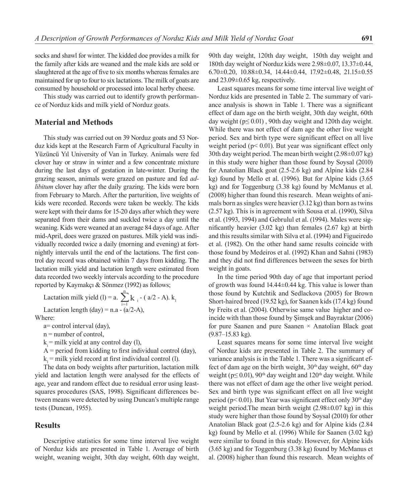socks and shawl for winter. The kidded doe provides a milk for the family after kids are weaned and the male kids are sold or slaughtered at the age of five to six months whereas females are maintained for up to four to six lactations. The milk of goats are consumed by household or processed into local herby cheese.

This study was carried out to identify growth performance of Norduz kids and milk yield of Norduz goats.

## **Material and Methods**

This study was carried out on 39 Norduz goats and 53 Norduz kids kept at the Research Farm of Agricultural Faculty in Yüzüncü Yıl University of Van in Turkey. Animals were fed clover hay or straw in winter and a few concentrate mixture during the last days of gestation in late-winter. During the grazing season, animals were grazed on pasture and fed *adlibitum* clover hay after the daily grazing. The kids were born from February to March. After the parturition, live weights of kids were recorded. Records were taken be weekly. The kids were kept with their dams for 15-20 days after which they were separated from their dams and suckled twice a day until the weaning. Kids were weaned at an average 84 days of age. After mid-April, does were grazed on pastures. Milk yield was individually recorded twice a daily (morning and evening) at fortnightly intervals until the end of the lactations. The first control day record was obtained within 7 days from kidding. The lactation milk yield and lactation length were estimated from data recorded two weekly intervals according to the procedure reported by Kaymakçı & Sönmez (1992) as follows;

Lactation milk yield (l) = a. 
$$
\sum_{i=1}^{n} k_i
$$
 - (a/2 - A).  $k_1$ 

Lactation length (day) =  $n.a - (a/2-A)$ ,

Where:

- a= control interval (day),
- n = number of control,
- $k =$  milk yield at any control day (1),

 $A =$  period from kidding to first individual control (day),

 $k_1$  = milk yield record at first individual control (1).

The data on body weights after parturition, lactation milk yield and lactation length were analysed for the effects of age, year and random effect due to residual error using leastsquares procedures (SAS, 1998). Significant differences between means were detected by using Duncan's multiple range tests (Duncan, 1955).

## **Results**

Descriptive statistics for some time interval live weight of Norduz kids are presented in Table 1. Average of birth weight, weaning weight, 30th day weight, 60th day weight,

90th day weight, 120th day weight, 150th day weight and 180th day weight of Norduz kids were 2.98±0.07, 13.37±0.44, 6.70 $\pm$ 0.20, 10.88 $\pm$ 0.34, 14.44 $\pm$ 0.44, 17.92 $\pm$ 0.48, 21.15 $\pm$ 0.55 and 23.09±0.65 kg, respectively.

Least squares means for some time interval live weight of Norduz kids are presented in Table 2. The summary of variance analysis is shown in Table 1. There was a significant effect of dam age on the birth weight, 30th day weight, 60th day weight ( $p \le 0.01$ ), 90th day weight and 120th day weight. While there was not effect of dam age the other live weight period. Sex and birth type were significant effect on all live weight period ( $p$ < 0.01). But year was significant effect only 30th day weight period. The mean birth weight (2.98±0.07 kg) in this study were higher than those found by Soysal (2010) for Anatolian Black goat (2.5-2.6 kg) and Alpine kids (2.84 kg) found by Mello et al. (1996). But for Alpine kids (3.65 kg) and for Toggenburg (3.38 kg) found by McManus et al. (2008) higher than found this research. Mean weights of animals born as singles were heavier (3.12 kg) than born as twins (2.57 kg). This is in agreement with Sousa et al. (1990), Silva et al. (1993, 1994) and Gebrulul et al. (1994). Males were significantly heavier (3.02 kg) than females (2.67 kg) at birth and this results similar with Silva et al. (1994) and Figueiredo et al. (1982). On the other hand same results coincide with those found by Medeiros et al. (1992) Khan and Sahni (1983) and they did not find differences between the sexes for birth weight in goats.

In the time period 90th day of age that important period of growth was found 14.44±0.44 kg. This value is lower than those found by Kutchtik and Sedlackova (2005) for Brown Short-haired breed (19.52 kg), for Saanen kids (17.4 kg) found by Freits et al. (2004). Otherwise same value higher and coincide with than those found by Şimşek and Bayraktar (2006) for pure Saanen and pure Saanen  $\times$  Anatolian Black goat (9.87–15.83 kg).

Least squares means for some time interval live weight of Norduz kids are presented in Table 2. The summary of variance analysis is in the Table 1. There was a significant effect of dam age on the birth weight,  $30<sup>th</sup>$  day weight,  $60<sup>th</sup>$  day weight ( $p \le 0.01$ ),  $90<sup>th</sup>$  day weight and  $120<sup>th</sup>$  day weight. While there was not effect of dam age the other live weight period. Sex and birth type was significant effect on all live weight period ( $p$ < 0.01). But Year was significant effect only 30<sup>th</sup> day weight period.The mean birth weight (2.98±0.07 kg) in this study were higher than those found by Soysal (2010) for other Anatolian Black goat (2.5-2.6 kg) and for Alpine kids (2.84 kg) found by Mello et al. (1996) While for Saanen (3.02 kg) were similar to found in this study. However, for Alpine kids (3.65 kg) and for Toggenburg (3.38 kg) found by McManus et al. (2008) higher than found this research. Mean weights of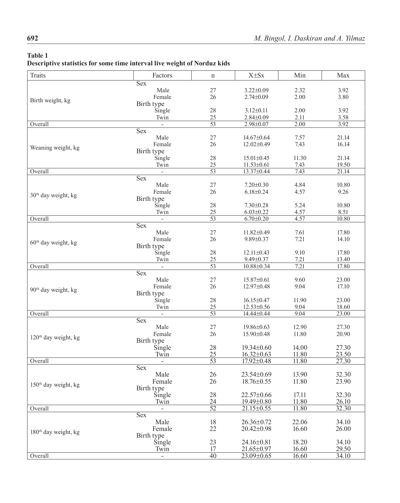## **Table 1**

# **Descriptive statistics for some time interval live weight of Norduz kids**

| <b>Traits</b>                    | Factors           | n               | $X \pm Sx$       | Min   | Max                |
|----------------------------------|-------------------|-----------------|------------------|-------|--------------------|
|                                  | <b>Sex</b>        |                 |                  |       |                    |
|                                  | Male              | 27              | $3.22 \pm 0.09$  | 2.32  | 3.92               |
|                                  | Female            | 26              | $2.74 \pm 0.09$  | 2.00  | 3.80               |
| Birth weight, kg                 |                   |                 |                  |       |                    |
|                                  | Birth type        |                 |                  |       |                    |
|                                  | Single            | 28              | $3.12 \pm 0.11$  | 2.00  | 3.92               |
|                                  | Twin              | 25              | $2.84 \pm 0.09$  | 2.11  | 3.58               |
| Overall                          | $\mathbf{r}$      | $\overline{53}$ | 2.98±0.07        | 2.00  | 3.92               |
|                                  | <b>Sex</b>        |                 |                  |       |                    |
|                                  | Male              | 27              | 14.67±0.64       | 7.57  | 21.14              |
|                                  | Female            | 26              | 12.02±0.49       | 7.43  | 16.14              |
| Weaning weight, kg               |                   |                 |                  |       |                    |
|                                  | Birth type        |                 |                  |       |                    |
|                                  | Single            | 28              | $15.01 \pm 0.45$ | 11.30 | 21.14              |
|                                  | Twin              | 25              | $11.53 \pm 0.61$ | 7.43  | 19.50              |
| Overall                          | $\overline{a}$    | $\overline{53}$ | 13.37±0.44       | 7.43  | 21.14              |
|                                  | $\overline{S}$ ex |                 |                  |       |                    |
|                                  | Male              | 27              | $7.20 \pm 0.30$  | 4.84  | 10.80              |
|                                  | Female            | 26              | $6.18 \pm 0.24$  | 4.57  | 9.26               |
| 30 <sup>th</sup> day weight, kg  |                   |                 |                  |       |                    |
|                                  | Birth type        |                 |                  |       |                    |
|                                  | Single            | 28              | $7.30 \pm 0.28$  | 5.24  | 10.80              |
|                                  | Twin              | 25              | $6.03 \pm 0.22$  | 4.57  | 8.51               |
| Overall                          | $\overline{a}$    | 53              | $6.70 \pm 0.20$  | 4.57  | 10.80              |
|                                  | <b>Sex</b>        |                 |                  |       |                    |
|                                  | Male              | 27              | $11.82 \pm 0.49$ | 7.61  | 17.80              |
|                                  |                   |                 |                  |       |                    |
| $60th$ day weight, kg            | Female            | 26              | $9.89 \pm 0.37$  | 7.21  | 14.10              |
|                                  | Birth type        |                 |                  |       |                    |
|                                  | Single            | 28              | $12.11 \pm 0.43$ | 9.10  | 17.80              |
|                                  | Twin              | 25              | $9.49 \pm 0.37$  | 7.21  | 13.40              |
| Overall                          |                   | 53              | 10.88±0.34       | 7.21  | 17.80              |
|                                  | <b>Sex</b>        |                 |                  |       |                    |
|                                  | Male              | 27              | $15.87 \pm 0.61$ | 9.60  | 23.00              |
|                                  |                   | 26              |                  |       |                    |
| 90 <sup>th</sup> day weight, kg  | Female            |                 | 12.97±0.48       | 9.04  | 17.10              |
|                                  | Birth type        |                 |                  |       |                    |
|                                  | Single            | 28              | $16.15 \pm 0.47$ | 11.90 | 23.00              |
|                                  | Twin              | 25              | $12.53 \pm 0.56$ | 9.04  | 18.60              |
| Overall                          | $\overline{a}$    | $\overline{53}$ | 14.44±0.44       | 9.04  | 23.00              |
|                                  | <b>Sex</b>        |                 |                  |       |                    |
|                                  | Male              | 27              | 19.86±0.63       | 12.90 | 27.30              |
|                                  | Female            | 26              | $15.90 \pm 0.48$ | 11.80 | 20.90              |
| 120 <sup>th</sup> day weight, kg |                   |                 |                  |       |                    |
|                                  | Birth type        |                 |                  |       |                    |
|                                  | Single            | 28              | 19.34±0.60       | 14.00 | 27.30              |
|                                  | Twin              | 25              | $16.32 \pm 0.63$ | 11.80 | 23.50              |
| Overall                          | $\mathbf{r}$      | $\overline{53}$ | $17.92 \pm 0.48$ | 11.80 | $\overline{27.30}$ |
|                                  | <b>Sex</b>        |                 |                  |       |                    |
|                                  | Male              | 26              | 23.54±0.69       | 13.90 | 32.30              |
|                                  | Female            | 26              | $18.76 \pm 0.55$ | 11.80 | 23.90              |
| 150 <sup>th</sup> day weight, kg |                   |                 |                  |       |                    |
|                                  | Birth type        |                 |                  |       |                    |
|                                  | Single            | 28              | 22.57±0.66       | 17.11 | 32.30              |
|                                  | Twin              | 24              | 19.49±0.80       | 11.80 | 26.10              |
| Overall                          |                   | $\overline{52}$ | 21.15±0.55       | 11.80 | 32.30              |
|                                  | <b>Sex</b>        |                 |                  |       |                    |
|                                  | Male              | 18              | $26.36 \pm 0.72$ | 22.06 | 34.10              |
|                                  | Female            | 22              | 20.42±0.98       | 16.60 | 26.00              |
| 180 <sup>th</sup> day weight, kg |                   |                 |                  |       |                    |
|                                  | Birth type        |                 |                  |       |                    |
|                                  | Single            | 23              | 24.16±0.81       | 18.20 | 34.10              |
|                                  | Twin              | 17              | 21.65±0.97       | 16.60 | 29.50              |
| Overall                          | $\overline{a}$    | $\overline{40}$ | 23.09±0.65       | 16.60 | 34.10              |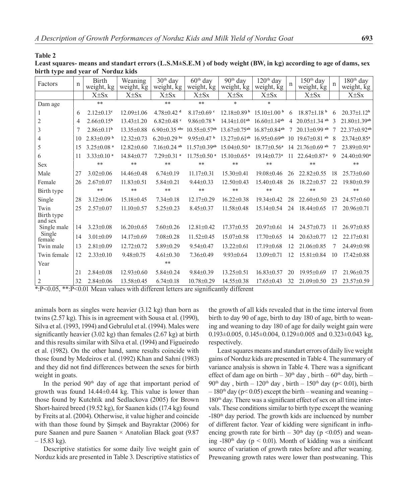#### **Table 2**

**Least squares- means and standart errors (L.S.M±S.E.M ) of body weight (BW, in kg) according to age of dams, sex birth type and year of Norduz kids**

| Factors               | n  | <b>Birth</b><br>weight, kg   | Weaning<br>weight, kg | 30 <sup>th</sup> day<br>weight, kg | $60th$ day<br>weight, kg       | 90 <sup>th</sup> day<br>weight, kg | $120th$ day<br>weight, kg      | n               | 150 <sup>th</sup> day<br>weight, kg | n  | 180 <sup>th</sup> day<br>weight, kg |
|-----------------------|----|------------------------------|-----------------------|------------------------------------|--------------------------------|------------------------------------|--------------------------------|-----------------|-------------------------------------|----|-------------------------------------|
|                       |    | $X \pm Sx$                   | $X \pm Sx$            | $X \pm Sx$                         | $X \pm Sx$                     | $X \pm Sx$                         | $X \pm Sx$                     |                 | $X \pm Sx$                          |    | $X \pm Sx$                          |
| Dam age               |    | $**$                         |                       | $**$                               | $**$                           | $\ast$                             | $\ast$                         |                 |                                     |    |                                     |
| 1                     | 6  | $2.12 \pm 0.13$ <sup>c</sup> | $12.09 \pm 1.06$      | $4.78 \pm 0.42$ <sup>d</sup>       | $8.17 \pm 0.69$ c              | $12.18\pm0.89b$                    | $15.10\pm1.00$ b               | 6               | $18.87 \pm 1.18$ <sup>b</sup>       | 6  | $20.37 \pm 1.12^b$                  |
| $\overline{2}$        | 4  | $2.66 \pm 0.15^b$            | $13.43 \pm 1.20$      | $6.82 \pm 0.48$ <sup>c</sup>       | $9.86 \pm 0.78$ b              | $14.14 \pm 1.01^{ab}$              | $16.60 \pm 1.14$ <sup>ab</sup> | 4               | $20.05 \pm 1.34$ ab                 | 3  | 21.80±1.39ab                        |
| 3                     | 7  | $2.86 \pm 0.11$ <sup>b</sup> | $13.35 \pm 0.88$      | $6.90\pm0.35$ abc                  | $10.55 \pm 0.57$ <sup>ab</sup> | $13.67 \pm 0.75$ <sup>ab</sup>     | $16.87 \pm 0.84$ <sup>ab</sup> | 7               | $20.13\pm0.99$ ab                   |    | 22.37±0.92ab                        |
| $\overline{4}$        | 10 | $2.83 \pm 0.09$ b            | $12.32 \pm 0.73$      | $6.20\pm0.29$ bc                   | 9.95 $\pm$ 0.47 b              | $13.27 \pm 0.61$ <sup>ab</sup>     | $16.95 \pm 0.69$ <sup>ab</sup> | 10 <sup>1</sup> | $19.67 \pm 0.81$<br>ab              | 8  | 23.74±0.85 <sup>a</sup>             |
| 5                     | 15 | $3.25 \pm 0.08$ <sup>a</sup> | $12.82 \pm 0.60$      | $7.16 \pm 0.24$ ab                 | $11.57 \pm 0.39$ <sup>ab</sup> | $15.04 \pm 0.50$ <sup>a</sup>      | $18.77 \pm 0.56$ <sup>a</sup>  |                 | 14 21.76±0.69 ab                    | -7 | 23.89±0.91ª                         |
| 6                     | 11 | $3.33 \pm 0.10$ <sup>a</sup> | 14.84±0.77            | $7.29 \pm 0.31$ <sup>a</sup>       | $11.75 \pm 0.50$ <sup>a</sup>  | $15.10\pm0.65$ <sup>a</sup>        | $19.14 \pm 0.73$ <sup>a</sup>  | 11              | $22.64 \pm 0.87$ <sup>a</sup>       | 9  | $24.40 \pm 0.90$ <sup>a</sup>       |
| <b>Sex</b>            |    | $**$                         | **                    | $**$                               | **                             | **                                 | **                             |                 | **                                  |    | $**$                                |
| Male                  | 27 | $3.02 \pm 0.06$              | $14.46 \pm 0.48$      | $6.74 \pm 0.19$                    | $11.17\pm0.31$                 | $15.30 \pm 0.41$                   | $19.08 \pm 0.46$               | 26              | $22.82 \pm 0.55$                    | 18 | $25.73 \pm 0.60$                    |
| Female                | 26 | $2.67 \pm 0.07$              | $11.83 \pm 0.51$      | $5.84 \pm 0.21$                    | $9.44 \pm 0.33$                | $12.50 \pm 0.43$                   | $15.40 \pm 0.48$               | 26              | $18.22 \pm 0.57$                    | 22 | 19.80±0.59                          |
| Birth type            |    | **                           | $**$                  | $**$                               | **                             | $**$                               | **                             |                 | **                                  |    | $**$                                |
| Single                | 28 | $3.12 \pm 0.06$              | 15.18±0.45            | $7.34 \pm 0.18$                    | $12.17\pm0.29$                 | $16.22 \pm 0.38$                   | $19.34 + 0.42$                 | 28              | $22.60\pm0.50$                      | 23 | $24.57 \pm 0.60$                    |
| Twin                  | 25 | $2.57 \pm 0.07$              | $11.10\pm0.57$        | $5.25 \pm 0.23$                    | $8.45 \pm 0.37$                | $11.58 \pm 0.48$                   | $15.14 \pm 0.54$               | 24              | $18.44 \pm 0.65$                    | 17 | $20.96 \pm 0.71$                    |
| Birth type<br>and sex |    |                              |                       |                                    |                                |                                    |                                |                 |                                     |    |                                     |
| Single male           | 14 | $3.23 \pm 0.08$              | $16.20 \pm 0.65$      | $7.60 \pm 0.26$                    | $12.81 \pm 0.42$               | $17.37 \pm 0.55$                   | 20.97±0.61                     | 14              | $24.57\pm0.73$                      | 11 | 26.97±0.85                          |
| Single<br>female      | 14 | $3.01 \pm 0.09$              | $14.17\pm0.69$        | $7.08 \pm 0.28$                    | $11.52 \pm 0.45$               | $15.07\pm0.58$                     | $17.70 \pm 0.65$               | 14              | $20.63 \pm 0.77$                    | 12 | $22.17+0.81$                        |
| Twin male             | 13 | $2.81 \pm 0.09$              | $12.72 \pm 0.72$      | $5.89 \pm 0.29$                    | $9.54 \pm 0.47$                | $13.22 \pm 0.61$                   | $17.19 \pm 0.68$               | 12              | $21.06\pm0.85$                      | 7  | 24.49±0.98                          |
| Twin female           | 12 | $2.33 \pm 0.10$              | $9.48 \pm 0.75$       | $4.61 \pm 0.30$                    | $7.36 \pm 0.49$                | $9.93 \pm 0.64$                    | $13.09 \pm 0.71$               | 12              | $15.81 \pm 0.84$                    | 10 | $17.42 \pm 0.88$                    |
| Year                  |    |                              |                       | $**$                               |                                |                                    |                                |                 |                                     |    |                                     |
|                       | 21 | $2.84 \pm 0.08$              | $12.93 \pm 0.60$      | $5.84 \pm 0.24$                    | $9.84 \pm 0.39$                | $13.25 \pm 0.51$                   | $16.83 \pm 0.57$               | 20              | $19.95 \pm 0.69$                    | 17 | 21.96±0.75                          |
| $\overline{2}$        | 32 | $2.84 \pm 0.06$              | 13.58±0.45            | $6.74 \pm 0.18$                    | 10.78±0.29                     | $14.55 \pm 0.38$                   | $17.65 \pm 0.43$               | 32              | $21.09 \pm 0.50$                    | 23 | $23.57 \pm 0.59$                    |

\*:P<0.05, \*\*:P<0.01 Mean values with different letters are significantly different

animals born as singles were heavier (3.12 kg) than born as twins (2.57 kg). This is in agreement with Sousa et al. (1990), Silva et al. (1993, 1994) and Gebrulul et al. (1994). Males were significantly heavier (3.02 kg) than females (2.67 kg) at birth and this results similar with Silva et al. (1994) and Figueiredo et al. (1982). On the other hand, same results coincide with those found by Medeiros et al. (1992) Khan and Sahni (1983) and they did not find differences between the sexes for birth weight in goats.

In the period  $90<sup>th</sup>$  day of age that important period of growth was found 14.44±0.44 kg. This value is lower than those found by Kutchtik and Sedlackova (2005) for Brown Short-haired breed (19.52 kg), for Saanen kids (17.4 kg) found by Freits at al. (2004). Otherwise, it value higher and coincide with than those found by Şimşek and Bayraktar (2006) for pure Saanen and pure Saanen × Anatolian Black goat (9.87  $-15.83$  kg).

Descriptive statistics for some daily live weight gain of Norduz kids are presented in Table 3. Descriptive statistics of

the growth of all kids revealed that in the time interval from birth to day 90 of age, birth to day 180 of age, birth to weaning and weaning to day 180 of age for daily weight gain were 0.193 $\pm$ 0.005, 0.145 $\pm$ 0.004, 0.129 $\pm$ 0.005 and 0.323 $\pm$ 0.043 kg, respectively.

Least squares means and standart errors of daily live weight gains of Norduz kids are presented in Table 4. The summary of variance analysis is shown in Table 4. There was a significant effect of dam age on birth –  $30<sup>th</sup>$  day, birth –  $60<sup>th</sup>$  day, birth – 90<sup>th</sup> day, birth – 120<sup>th</sup> day, birth – 150<sup>th</sup> day (p< 0.01), birth  $-180$ <sup>th</sup> day (p< 0.05) except the birth – weaning and weaning – 180<sup>th</sup> day. There was a significant effect of sex on all time intervals. These conditions similar to birth type except the weaning -180th day period. The growth kids are incluenced by number of different factor. Year of kidding were significant in influencing growth rate for birth –  $30<sup>th</sup>$  day (p <0.05) and weaning -180<sup>th</sup> day ( $p < 0.01$ ). Month of kidding was a sinificant source of variation of growth rates before and after weaning. Preweaning growth rates were lower than postweaning. This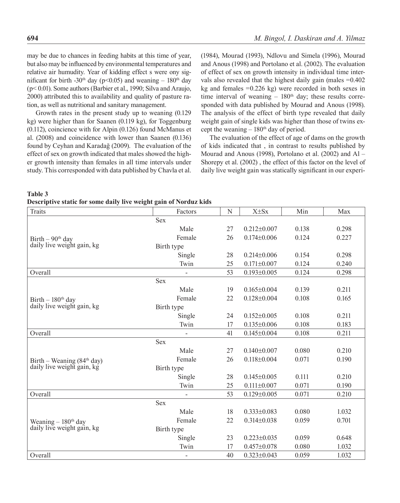may be due to chances in feeding habits at this time of year, but also may be influenced by environmental temperatures and relative air humudity. Year of kidding effect s were ony significant for birth -30<sup>th</sup> day (p<0.05) and weaning – 180<sup>th</sup> day (p< 0.01). Some authors (Barbier et al., 1990; Silva and Araujo, 2000) attributed this to availability and quality of pasture ration, as well as nutritional and sanitary management.

Growth rates in the present study up to weaning (0.129 kg) were higher than for Saanen (0.119 kg), for Toggenburg (0.112), coincience with for Alpin (0.126) found McManus et al. (2008) and coincidence with lower than Saanen (0.136) found by Ceyhan and Karadağ (2009). The evaluation of the effect of sex on growth indicated that males showed the higher growth intensity than females in all time intervals under study. This corresponded with data published by Chavla et al. (1984), Mourad (1993), Ndlovu and Simela (1996), Mourad and Anous (1998) and Portolano et al. (2002). The evaluation of effect of sex on growth intensity in individual time intervals also revealed that the highest daily gain (males  $= 0.402$ ) kg and females  $=0.226$  kg) were recorded in both sexes in time interval of weaning  $-180<sup>th</sup>$  day; these results corresponded with data published by Mourad and Anous (1998). The analysis of the effect of birth type revealed that daily weight gain of single kids was higher than those of twins except the weaning  $-180<sup>th</sup>$  day of period.

The evaluation of the effect of age of dams on the growth of kids indicated that , in contrast to results published by Mourad and Anous (1998), Portolano et al. (2002) and Al – Shorepy et al. (2002) , the effect of this factor on the level of daily live weight gain was statically significant in our experi-

| <b>Table 3</b>                                                    |  |  |
|-------------------------------------------------------------------|--|--|
| Descriptive static for some daily live weight gain of Norduz kids |  |  |

| <b>Traits</b>                                                | Factors        | N  | $X \pm Sx$        | Min   | Max   |
|--------------------------------------------------------------|----------------|----|-------------------|-------|-------|
|                                                              | <b>Sex</b>     |    |                   |       |       |
|                                                              | Male           | 27 | $0.212 \pm 0.007$ | 0.138 | 0.298 |
| Birth $-90$ <sup>th</sup> day                                | Female         | 26 | $0.174 \pm 0.006$ | 0.124 | 0.227 |
| daily live weight gain, kg                                   | Birth type     |    |                   |       |       |
|                                                              | Single         | 28 | $0.214 \pm 0.006$ | 0.154 | 0.298 |
|                                                              | Twin           | 25 | $0.171 \pm 0.007$ | 0.124 | 0.240 |
| Overall                                                      |                | 53 | $0.193 \pm 0.005$ | 0.124 | 0.298 |
|                                                              | <b>Sex</b>     |    |                   |       |       |
|                                                              | Male           | 19 | $0.165 \pm 0.004$ | 0.139 | 0.211 |
| Birth $-180$ <sup>th</sup> day                               | Female         | 22 | $0.128 \pm 0.004$ | 0.108 | 0.165 |
| daily live weight gain, kg                                   | Birth type     |    |                   |       |       |
|                                                              | Single         | 24 | $0.152 \pm 0.005$ | 0.108 | 0.211 |
|                                                              | Twin           | 17 | $0.135 \pm 0.006$ | 0.108 | 0.183 |
| Overall                                                      | $\blacksquare$ | 41 | $0.145 \pm 0.004$ | 0.108 | 0.211 |
|                                                              | <b>Sex</b>     |    |                   |       |       |
|                                                              | Male           | 27 | $0.140 \pm 0.007$ | 0.080 | 0.210 |
| Birth – Weaning $(84th day)$                                 | Female         | 26 | $0.118 \pm 0.004$ | 0.071 | 0.190 |
| daily live weight gain, kg                                   | Birth type     |    |                   |       |       |
|                                                              | Single         | 28 | $0.145 \pm 0.005$ | 0.111 | 0.210 |
|                                                              | Twin           | 25 | $0.111 \pm 0.007$ | 0.071 | 0.190 |
| Overall                                                      |                | 53 | $0.129 \pm 0.005$ | 0.071 | 0.210 |
|                                                              | <b>Sex</b>     |    |                   |       |       |
|                                                              | Male           | 18 | $0.333 \pm 0.083$ | 0.080 | 1.032 |
|                                                              | Female         | 22 | $0.314 \pm 0.038$ | 0.059 | 0.701 |
| Weaning $-180^{\text{th}}$ day<br>daily live weight gain, kg | Birth type     |    |                   |       |       |
|                                                              | Single         | 23 | $0.223 \pm 0.035$ | 0.059 | 0.648 |
|                                                              | Twin           | 17 | $0.457 \pm 0.078$ | 0.080 | 1.032 |
| Overall                                                      | $\frac{1}{2}$  | 40 | $0.323 \pm 0.043$ | 0.059 | 1.032 |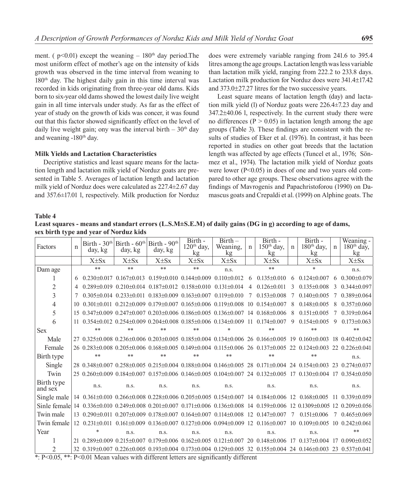ment. ( $p<0.01$ ) except the weaning – 180<sup>th</sup> day period. The most uniform effect of mother's age on the intensity of kids growth was observed in the time interval from weaning to 180th day. The highest daily gain in this time interval was recorded in kids originating from three-year old dams. Kids born to six-year old dams showed the lowest daily live weight gain in all time intervals under study. As far as the effect of year of study on the growth of kids was concer, it was found out that this factor showed significantly effect on the level of daily live weight gain; ony was the interval birth  $-30<sup>th</sup>$  day and weaning -180<sup>th</sup> day.

#### **Milk Yields and Lactation Characteristics**

Decriptive statistics and least square means for the lactation length and lactation milk yield of Norduz goats are presented in Table 5. Averages of lactation length and lactation milk yield of Norduz does were calculated as 227.4±2.67 day and 357.6±17.01 l, respectively. Milk production for Norduz

does were extremely variable ranging from 241.6 to 395.4 litres among the age groups. Lactation length was less variable than lactation milk yield, ranging from 222.2 to 233.8 days. Lactation milk production for Norduz does were 341.4±17.42 and 373.0±27.27 litres for the two successive years.

Least square means of lactation length (day) and lactation milk yield (l) of Norduz goats were 226.4±7.23 day and 347.2±40.06 l, respectively. In the current study there were no differences ( $P > 0.05$ ) in lactation length among the age groups (Table 3). These findings are consistent with the results of studies of Eker et al. (1976). In contrast, it has been reported in studies on other goat breeds that the lactation length was affected by age effects (Tuncel et al., 1976; Sönmez et al., 1974). The lactation milk yield of Norduz goats were lower (P<0.05) in does of one and two years old compared to other age groups. These observations agree with the findings of Mavrogenis and Papachristoforou (1990) on Damascus goats and Crepaldi et al. (1999) on Alphine goats. The

#### **Table 4**

**Least squares - means and standart errors (L.S.M±S.E.M) of daily gains (DG in g) according to age of dams, sex birth type and year of Norduz kids**

| Factors                                                                                            | $\mathbf n$ | day, kg                                                                                           | Birth - $30th$ Birth - $60th$ Birth - $90th$<br>day, kg | day, kg     | Birth -<br>$120th$ day,<br>kg                                                                      | $Birth-$<br>Weaning,<br>kg | n              | Birth -<br>$150th$ day,<br>kg                                                                                               | $\mathbf n$ | Birth -<br>$180th$ day,<br>$k\mathbf{g}$ | $\mathbf n$   | Weaning -<br>$180th$ day,<br>kg |
|----------------------------------------------------------------------------------------------------|-------------|---------------------------------------------------------------------------------------------------|---------------------------------------------------------|-------------|----------------------------------------------------------------------------------------------------|----------------------------|----------------|-----------------------------------------------------------------------------------------------------------------------------|-------------|------------------------------------------|---------------|---------------------------------|
|                                                                                                    |             | $X \pm S_X$                                                                                       | $X \pm S_X$                                             | $X \pm S_X$ | $X \pm S_X$                                                                                        | $X \pm Sx$                 |                | $X \pm Sx$                                                                                                                  |             | $X \pm S_X$                              |               | $X \pm S_X$                     |
| Dam age                                                                                            |             | **                                                                                                | **                                                      | **          | **                                                                                                 | n.s.                       |                | **                                                                                                                          |             | $\ast$                                   |               | n.s.                            |
|                                                                                                    |             | $0.230\pm0.017$ $0.167\pm0.013$ $0.159\pm0.010$ $0.144\pm0.009$ $0.110\pm0.012$ 6 $0.135\pm0.010$ |                                                         |             |                                                                                                    |                            |                |                                                                                                                             | 6           | $0.124\pm0.007$                          | 6             | $0.300\pm0.079$                 |
| 2                                                                                                  |             |                                                                                                   |                                                         |             | $0.289\pm0.019$ $0.210\pm0.014$ $0.187\pm0.012$ $0.158\pm0.010$ $0.131\pm0.014$                    |                            | $\overline{4}$ | $0.126 \pm 0.011$                                                                                                           | 3           | $0.135 \pm 0.008$                        | $\mathcal{E}$ | $0.344\pm0.097$                 |
| 3                                                                                                  |             |                                                                                                   |                                                         |             | $0.305\pm0.014$ $0.233\pm0.011$ $0.183\pm0.009$ $0.163\pm0.007$ $0.119\pm0.010$                    |                            | 7              | $0.153\pm0.008$                                                                                                             | 7           | $0.140 \pm 0.005$                        |               | $0.389 \pm 0.064$               |
| 4                                                                                                  | 10          |                                                                                                   |                                                         |             | $0.301\pm0.011$ $0.212\pm0.009$ $0.179\pm0.007$ $0.165\pm0.006$ $0.119\pm0.008$ 10 $0.154\pm0.007$ |                            |                |                                                                                                                             | 8           | $0.148 \pm 0.005$                        | 8             | $0.357\pm0.060$                 |
| 5                                                                                                  |             | 15 0.347±0.009 0.247±0.007 0.203±0.006 0.186±0.005 0.136±0.007 14 0.168±0.006                     |                                                         |             |                                                                                                    |                            |                |                                                                                                                             | 8           | $0.151 \pm 0.005$                        |               | $0.319 \pm 0.064$               |
| 6                                                                                                  |             | 11 0.354 + 0.012 0.254 + 0.009 0.204 + 0.008 0.185 + 0.006 0.134 + 0.009 11 0.174 + 0.007         |                                                         |             |                                                                                                    |                            |                |                                                                                                                             | 9           | $0.154\pm0.005$                          | 9             | $0.173 \pm 0.063$               |
| <b>Sex</b>                                                                                         |             | **                                                                                                | **                                                      | **          | **                                                                                                 | *                          |                | **                                                                                                                          |             | **                                       |               | **                              |
| Male                                                                                               |             |                                                                                                   |                                                         |             |                                                                                                    |                            |                | 27 0.325±0.008 0.236±0.006 0.203±0.005 0.185±0.004 0.134±0.006 26 0.166±0.005 19 0.160±0.003 18 0.402±0.042                 |             |                                          |               |                                 |
| Female                                                                                             |             |                                                                                                   |                                                         |             |                                                                                                    |                            |                | 26 0.283+0.008 0.205+0.006 0.168+0.005 0.149+0.004 0.115+0.006 26 0.137+0.005 22 0.124+0.003 22 0.226+0.041                 |             |                                          |               |                                 |
| Birth type                                                                                         |             | **                                                                                                | **                                                      | **          | **                                                                                                 | **                         |                | **                                                                                                                          |             | **                                       |               | n.s.                            |
| Single                                                                                             |             |                                                                                                   |                                                         |             |                                                                                                    |                            |                | 28 0.348 ± 0.007 0.258 ± 0.005 0.215 ± 0.004 0.188 ± 0.004 0.146 ± 0.005 28 0.171 ± 0.004 24 0.154 ± 0.003 23 0.274 ± 0.037 |             |                                          |               |                                 |
| Twin                                                                                               |             |                                                                                                   |                                                         |             |                                                                                                    |                            |                | 25 0.260 + 0.009 0.184 + 0.007 0.157 + 0.006 0.146 + 0.005 0.104 + 0.007 24 0.132 + 0.005 17 0.130 + 0.004 17 0.354 + 0.050 |             |                                          |               |                                 |
| Birth type<br>and sex                                                                              |             | n.s.                                                                                              | n.s.                                                    | n.s.        | n.s.                                                                                               | n.s.                       |                | n.s.                                                                                                                        |             | n.s.                                     |               | n.s.                            |
| Single male                                                                                        |             |                                                                                                   |                                                         |             |                                                                                                    |                            |                | 14 0.361±0.010 0.266±0.008 0.228±0.006 0.205±0.005 0.154±0.007 14 0.184±0.006 12 0.168±0.005                                |             |                                          |               | $11 \quad 0.339 + 0.059$        |
| Sinle female                                                                                       |             |                                                                                                   |                                                         |             |                                                                                                    |                            |                | 14 0.336±0.010 0.249±0.008 0.201±0.007 0.171±0.006 0.136±0.008 14 0.159±0.006 12 0.1309±0.005 12 0.209±0.056                |             |                                          |               |                                 |
| Twin male                                                                                          |             | 13 0.290 ± 0.011 0.207 ± 0.009 0.178 ± 0.007 0.164 ± 0.007 0.114 ± 0.008 12 0.147 ± 0.007         |                                                         |             |                                                                                                    |                            |                |                                                                                                                             | $\tau$      | $0.151\pm0.006$                          | $\tau$        | $0.465\pm0.069$                 |
| Twin female                                                                                        |             |                                                                                                   |                                                         |             |                                                                                                    |                            |                | 12 0.231+0.011 0.161+0.009 0.136+0.007 0.127+0.006 0.094+0.009 12 0.116+0.007 10 0.109+0.005 10 0.242+0.061                 |             |                                          |               |                                 |
| Year                                                                                               |             | $\ast$                                                                                            | n.s.                                                    | n.s.        | n.s.                                                                                               | n.s.                       |                | n.s.                                                                                                                        |             | n.s.                                     |               | $**$                            |
|                                                                                                    |             |                                                                                                   |                                                         |             |                                                                                                    |                            |                | 21 0.289±0.009 0.215±0.007 0.179±0.006 0.162±0.005 0.121±0.007 20 0.148±0.006 17 0.137±0.004 17 0.090±0.052                 |             |                                          |               |                                 |
|                                                                                                    |             |                                                                                                   |                                                         |             |                                                                                                    |                            |                | 32 0.319 + 0.007 0.226 + 0.005 0.193 + 0.004 0.173 + 0.004 0.129 + 0.005 32 0.155 + 0.004 24 0.146 + 0.003 23 0.537 + 0.041 |             |                                          |               |                                 |
| $\ast$ $D<0.05$ $\ast\ast$ $D<0.01$ Mean values with different letters are significantly different |             |                                                                                                   |                                                         |             |                                                                                                    |                            |                |                                                                                                                             |             |                                          |               |                                 |

 $\div$  P<0.05, \*\*: P<0.01 Mean values with different letters are significantly different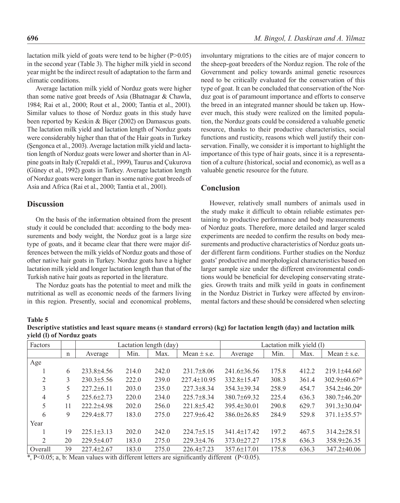lactation milk yield of goats were tend to be higher (P>0.05) in the second year (Table 3). The higher milk yield in second year might be the indirect result of adaptation to the farm and climatic conditions.

Average lactation milk yield of Norduz goats were higher than some native goat breeds of Asia (Bhatnagar & Chawla, 1984; Rai et al., 2000; Rout et al., 2000; Tantia et al., 2001). Similar values to those of Norduz goats in this study have been reported by Keskin & Biçer (2002) on Damascus goats. The lactation milk yield and lactation length of Norduz goats were considerably higher than that of the Hair goats in Turkey (Şengonca et al., 2003). Average lactation milk yield and lactation length of Norduz goats were lower and shorter than in Alpine goats in Italy (Crepaldi et al., 1999), Taurus and Çukurova (Güney et al., 1992) goats in Turkey. Average lactation length of Norduz goats were longer than in some native goat breeds of Asia and Africa (Rai et al., 2000; Tantia et al., 2001).

## **Discussion**

On the basis of the information obtained from the present study it could be concluded that: according to the body measurements and body weight, the Norduz goat is a large size type of goats, and it became clear that there were major differences between the milk yields of Norduz goats and those of other native hair goats in Turkey. Norduz goats have a higher lactation milk yield and longer lactation length than that of the Turkish native hair goats as reported in the literature.

The Norduz goats has the potential to meet and milk the nutritional as well as economic needs of the farmers living in this region. Presently, social and economical problems, involuntary migrations to the cities are of major concern to the sheep-goat breeders of the Norduz region. The role of the Government and policy towards animal genetic resources need to be critically evaluated for the conservation of this type of goat. It can be concluded that conservation of the Norduz goat is of paramount importance and efforts to conserve the breed in an integrated manner should be taken up. However much, this study were realized on the limited population, the Norduz goats could be considered a valuable genetic resource, thanks to their productive characteristics, social functions and rusticity, reasons which well justify their conservation. Finally, we consider it is important to highlight the importance of this type of hair goats, since it is a representation of a culture (historical, social and economic), as well as a valuable genetic resource for the future.

## **Conclusion**

However, relatively small numbers of animals used in the study make it difficult to obtain reliable estimates pertaining to productive performance and body measurements of Norduz goats. Therefore, more detailed and larger scaled experiments are needed to confirm the results on body measurements and productive characteristics of Norduz goats under different farm conditions. Further studies on the Norduz goats' productive and morphological characteristics based on larger sample size under the different environmental conditions would be beneficial for developing conservating strategies. Growth traits and milk yeild in goats in confinement in the Norduz District in Turkey were affected by environmental factors and these should be considered when selecting

#### **Table 5**

**Descriptive statistics and least square means (± standard errors) (kg) for lactation length (day) and lactation milk yield (l) of Norduz goats** 

| Factors |    |                  | Lactation length (day) | Lactation milk yield (1) |                   |                   |       |       |                                 |
|---------|----|------------------|------------------------|--------------------------|-------------------|-------------------|-------|-------|---------------------------------|
|         | n  | Average          | Min.                   | Max.                     | Mean $\pm$ s.e.   | Average           | Min.  | Max.  | Mean $\pm$ s.e.                 |
| Age     |    |                  |                        |                          |                   |                   |       |       |                                 |
|         | 6  | $233.8 + 4.56$   | 214.0                  | 242.0                    | $231.7\pm8.06$    | $241.6 \pm 36.56$ | 175.8 | 412.2 | $219.1\pm44.66^b$               |
| 2       | 3  | $230.3 \pm 5.56$ | 222.0                  | 239.0                    | $227.4 \pm 10.95$ | 332.8±15.47       | 308.3 | 361.4 | $302.9 \pm 60.67$ <sup>ab</sup> |
| 3       |    | $227.2 \pm 6.11$ | 203.0                  | 235.0                    | $227.3 \pm 8.34$  | $354.3 \pm 39.34$ | 258.9 | 454.7 | $354.2\pm46.20^{\circ}$         |
| 4       | 5. | $225.6 \pm 2.73$ | 220.0                  | 234.0                    | $225.7\pm8.34$    | $380.7\pm 69.32$  | 225.4 | 636.3 | $380.7 \pm 46.20$ <sup>a</sup>  |
| 5       | 11 | $2222 + 498$     | 202.0                  | 256.0                    | $221.8 \pm 5.42$  | $395.4 \pm 30.01$ | 290.8 | 629.7 | $391.3 \pm 30.04^a$             |
| 6       | 9  | $229.4 \pm 8.77$ | 183.0                  | 275.0                    | $227.9 \pm 6.42$  | $386.0 \pm 26.85$ | 284.9 | 529.8 | $371.1 \pm 35.57$ <sup>a</sup>  |
| Year    |    |                  |                        |                          |                   |                   |       |       |                                 |
|         | 19 | $225.1 \pm 3.13$ | 202.0                  | 242.0                    | $224.7 \pm 5.15$  | $341.4 \pm 17.42$ | 197.2 | 467.5 | $314.2\pm 28.51$                |
| 2       | 20 | $229.5 \pm 4.07$ | 183.0                  | 275.0                    | $229.3 + 4.76$    | $373.0 \pm 27.27$ | 175.8 | 636.3 | $358.9 \pm 26.35$               |
| Overall | 39 | $227.4 \pm 2.67$ | 183.0                  | 275.0                    | $226.4 \pm 7.23$  | $357.6 \pm 17.01$ | 175.8 | 636.3 | $347.2 \pm 40.06$               |
|         |    |                  |                        |                          |                   |                   |       |       |                                 |

\*, P<0.05; a, b: Mean values with different letters are significantly different (P<0.05).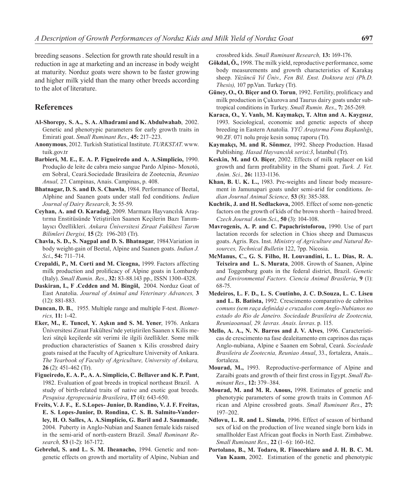breeding seasons . Selection for growth rate should result in a reduction in age at marketing and an increase in body weight at maturity. Norduz goats were shown to be faster growing and higher milk yield than the many other breeds according to the alot of literature.

## **References**

- **Al-Shorepy, S. A., S. A. Alhadrami and K. Abdulwahab**, 2002. Genetic and phenotypic parameters for early growth traits in Emirati goat. *Small Ruminant Res*., **45:** 217–223.
- **Anonymous**, 2012. Turkish Statistical Institute. *TURKSTAT*. www. tuik.gov.tr
- **Barbieri, M. E., E. A. P. Figueiredo and A. A.Simplicio,** 1990. Produção de leite de cabra meio sangue Pardo Alpino- Moxotó, em Sobral, Ceará.Sociedade Brasileira de Zootecnia, *Reuniao Anual,* 27. Campinas, Anais. Campinas, p. 408.
- **Bhatnagar, D. S. and D. S. Chawla**, 1984. Performance of Beetal, Alphine and Saanen goats under stall fed conditions. *Indian Journal of Dairy Research,* **3:** 55-59.
- **Ceyhan, A. and O. Karadağ**, 2009. Marmara Hayvancılık Araştırma Enstitüsünde Yetiştirilen Saanen Keçilerin Bazı Tanımlayıcı Özellikleri. *Ankara Üniversitesi Ziraat Fakültesi Tarım Bilimleri Dergisi,* **15** (2): 196-203 (Tr).
- **Chavla, S. D., S. Nagpal and D. S. Bhatnagar**, 1984.Variation in body weight-gain of Beetal, Alpine and Saanen goats. *Indian J. Sci*., **54:** 711–714.
- **Crepaldi, P., M. Corti and M. Cicogna,** 1999. Factors affecting milk production and prolificacy of Alpine goats in Lombardy (Italy). *Small Rumin. Res*., **32:** 83-88.143 pp., ISSN 1300-4328.
- **Daskiran, I., F .Cedden and M. Bingöl,** 2004. Norduz Goat of East Anatolia. *Journal of Animal and Veterinary Advances,* **3** (12): 881-883.
- **Duncan, D. B.**, 1955. Multiple range and multiple F-test. *Biometrics,* **11:** 1-42.
- **Eker, M., E. Tuncel, Y. Aşkın and S. M. Yener**, 1976. Ankara Üniversitesi Ziraat Fakültesi'nde yetiştirilen Saanen x Kilis melezi sütçü keçilerde süt verimi ile ilgili özellikler. Some milk production characteristics of Saanen x Kilis crossbred dairy goats raised at the Faculty of Agriculture University of Ankara. *The Yearbook of Faculty of Agriculture, University of Ankara,* **26** (2): 451-462 (Tr).
- **Figueiredo, E. A. P., A. A. Simplicio, C. Bellaver and K. P. Pant**, 1982. Evaluation of goat breeds in tropical northeast Brazil. A study of birth-related traits of native and exotic goat breeds. *Pesquisa Agropecuária Brasileira*, **17** (4): 643-650.
- **Freits, V. J. F., E. S.Lopes- Junior, D. Randino, V. J. F. Freitas, E. S. Lopes-Junior, D. Rondina, C. S. B. Salmito-Vanderley, H. O. Salles, A. A.Simplício, G. Baril and J. Saumande**, 2004. Puberty in Anglo-Nubian and Saanen female kids raised in the semi-arid of north-eastern Brazil. *Small Ruminant Research,* **53** (1-2): 167-172.
- **Gebrelul, S. and L. S. M. Iheanacho,** 1994. Genetic and nongenetic effects on growth and mortality of Alpine, Nubian and

crossbred kids. *Small Ruminant Research,* **13:** 169-176.

- **Gökdal, Ö.,** 1998. The milk yield, reproductive performance, some body measurements and growth characteristics of Karakaş sheep. *Yüzüncü Yıl Üniv., Fen Bil. Enst. Doktora tezi (Ph.D. Thesis),* 107 pp.Van. Turkey (Tr).
- **Güney, O., O. Biçer and O. Torun**, 1992. Fertility, prolificacy and milk production in Çukurova and Taurus dairy goats under subtropical conditions in Turkey. *Small Rumin. Res*., **7:** 265-269.
- **Karaca, O., Y. Vanlı, M. Kaymakçı, T. Altın and A. Kaygısız**, 1993. Sociological, economic and genetic aspects of sheep breeding in Eastern Anatolia*. YYÜ Araştırma Fonu Başkanlığı*, 90.ZF. 071 nolu proje kesin sonuç raporu (Tr).
- **Kaymakçı, M. and R. Sönmez**, 1992. Sheep Production. Hasad Publishing. *Hasad Hayvancılık serisi:3*, İstanbul (Tr).
- **Keskin, M. and O. Biçer**, 2002. Effects of milk replacer on kid growth and farm profitability in the Shami goat. *Turk. J. Vet. Anim. Sci.,* **26:** 1133-1136.
- **Khan, B. U. K. L.,** 1983. Pre-weights and linear body measurement in Jamunapari goats under semi-arid for conditions. *Indian Journal Animal Science,* **53** (8): 385-388.
- **Kuchtik, J. and H. Sedlackova,** 2005. Effect of some non-genetic factors on the growth of kids of the brown shorth – haired breed. *Czech Journal Anim.Sci*., **50** (3): 104-108.
- **Mavrogenis, A. P. and C. Papachristoforou,** 1990. Use of part lactation records for selection in Chios sheep and Damascus goats. Agris. Res. Inst. *Ministry of Agriculture and Natural Resources, Technical Bulletin* 122, 7pp. Nicosia.
- **McManus, C., G. S. Filho, H. Louvandini, L. L. Dias, R. A. Teixeira and L. S. Murata**, 2008. Growth of Saanen, Alpine and Toggenburg goats in the federal district, Brazil. *Genetic and Environmental Factors. Ciencia Animal Brasileria*, **9** (1): 68-75.
- **Medeiros, L. F. D., L. S. Coutinho, J. C. D.Souza, L. C. Liseu and L. B. Batista,** 1992. Crescimento comparativo de cabritos *comuns (sem raça definida) e cruzados com Anglo-Nubianos no estado do Rio de Janeiro. Sociedade Brasileira de Zootecnia, Reuniaoanual, 29. lavras. Anais. lavras*. p. 115.
- **Mello, A. A., N. N. Barros and J. V. Alves**, 1996. Características de crescimento na fase dealeitamento em caprinos das raças Anglo-nubiana, Alpine e Saanen em Sobral, Ceará. *Sociedade Brasileira de Zootecnia, Reuniao Anual*, 33., fortaleza, Anais... fortaleza.
- **Mourad, M.,** 1993. Reproductive-performance of Alpine and Zaraibi goats and growth of their first cross in Egypt. *Small Ruminant Res*., **12:** 379–384.
- **Mourad, M. and M. R. Anous,** 1998. Estimates of genetic and phenotypic parameters of some growth traits in Common African and Alpine crossbred goats. *Small Ruminant Res*., **27:** 197–202.
- **Ndlovu, L. R. and L. Simela**, 1996. Effect of season of birthand sex of kid on the production of live weaned single born kids in smallholder East African goat flocks in North East. Zimbabwe. *Small Ruminant Res*., **22** (1–6): 160-162.
- **Portolano, B., M. Todaro, R. Finocchiaro and J. H. B. C. M. Van Kaam**, 2002. Estimation of the genetic and phenotypic